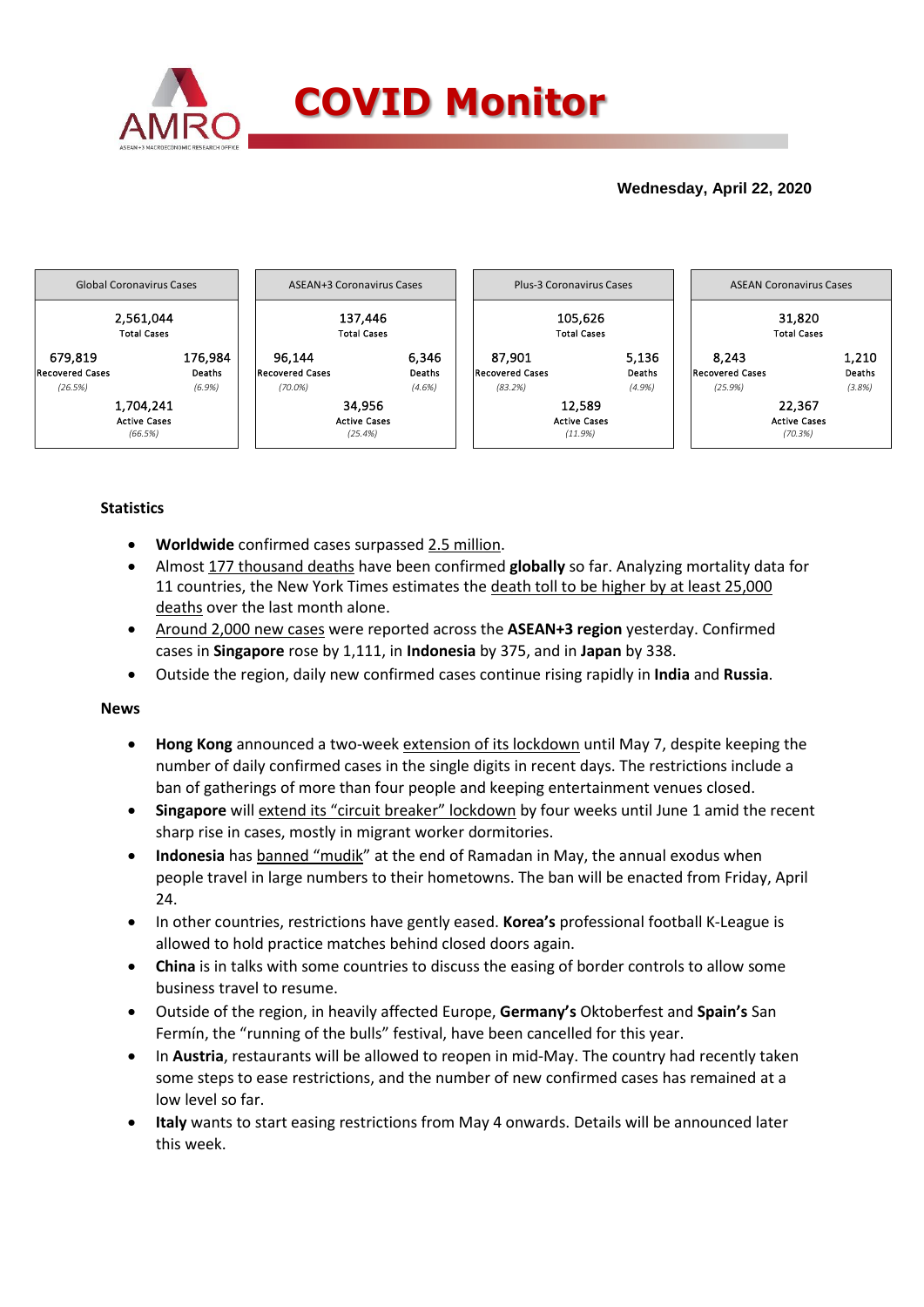

## **Wednesday, April 22, 2020**



## **Statistics**

- **Worldwide** confirmed cases surpassed 2.5 million.
- Almost 177 thousand deaths have been confirmed **globally** so far. Analyzing mortality data for 11 countries, the New York Times estimates the death toll to be higher by at least 25,000 deaths over the last month alone.
- Around 2,000 new cases were reported across the **ASEAN+3 region** yesterday. Confirmed cases in **Singapore** rose by 1,111, in **Indonesia** by 375, and in **Japan** by 338.
- Outside the region, daily new confirmed cases continue rising rapidly in **India** and **Russia**.

## **News**

- **Hong Kong** announced a two-week extension of its lockdown until May 7, despite keeping the number of daily confirmed cases in the single digits in recent days. The restrictions include a ban of gatherings of more than four people and keeping entertainment venues closed.
- **Singapore** will extend its "circuit breaker" lockdown by four weeks until June 1 amid the recent sharp rise in cases, mostly in migrant worker dormitories.
- **Indonesia** has banned "mudik" at the end of Ramadan in May, the annual exodus when people travel in large numbers to their hometowns. The ban will be enacted from Friday, April 24.
- In other countries, restrictions have gently eased. **Korea's** professional football K-League is allowed to hold practice matches behind closed doors again.
- **China** is in talks with some countries to discuss the easing of border controls to allow some business travel to resume.
- Outside of the region, in heavily affected Europe, **Germany's** Oktoberfest and **Spain's** San Fermín, the "running of the bulls" festival, have been cancelled for this year.
- In **Austria**, restaurants will be allowed to reopen in mid-May. The country had recently taken some steps to ease restrictions, and the number of new confirmed cases has remained at a low level so far.
- **Italy** wants to start easing restrictions from May 4 onwards. Details will be announced later this week.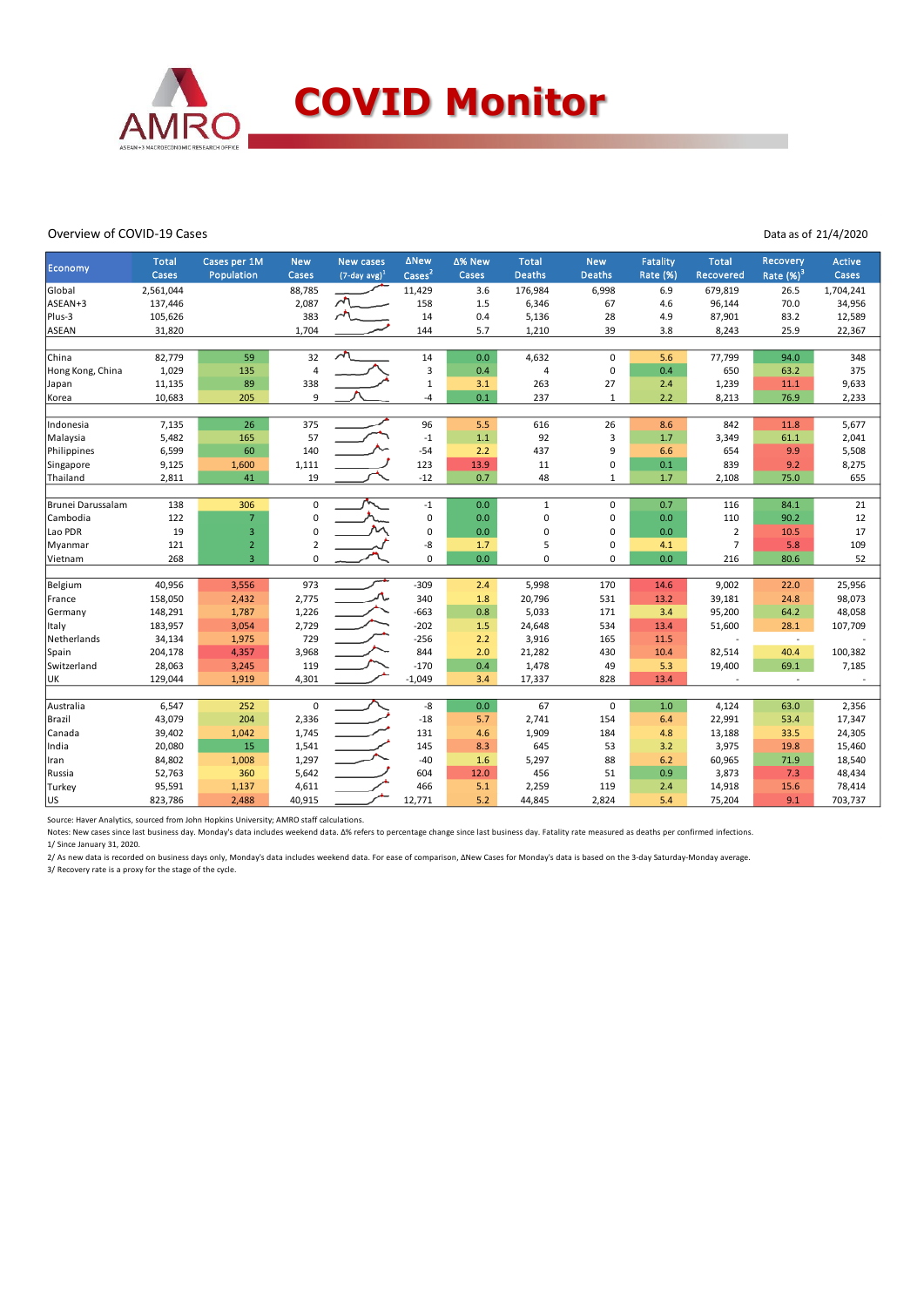

### Overview of COVID-19 Cases

#### Data as of 21/4/2020

|                   | <b>Total</b> | Cases per 1M   | <b>New</b>     | <b>New cases</b>            | <b>ANew</b>   | ∆% New | <b>Total</b>  | <b>New</b>    | <b>Fatality</b> | <b>Total</b>   | <b>Recovery</b>          | Active    |
|-------------------|--------------|----------------|----------------|-----------------------------|---------------|--------|---------------|---------------|-----------------|----------------|--------------------------|-----------|
| Economy           | Cases        | Population     | Cases          | $(7$ -day avg) <sup>1</sup> | $\text{Case}$ | Cases  | <b>Deaths</b> | <b>Deaths</b> | Rate (%)        | Recovered      | Rate $(%)3$              | Cases     |
| Global            | 2,561,044    |                | 88,785         |                             | 11,429        | 3.6    | 176,984       | 6,998         | 6.9             | 679,819        | 26.5                     | 1,704,241 |
| ASEAN+3           | 137,446      |                | 2,087          | $\lambda$                   | 158           | 1.5    | 6,346         | 67            | 4.6             | 96,144         | 70.0                     | 34,956    |
| Plus-3            | 105,626      |                | 383            | $\sim$                      | 14            | 0.4    | 5,136         | 28            | 4.9             | 87,901         | 83.2                     | 12,589    |
| ASEAN             | 31,820       |                | 1,704          |                             | 144           | 5.7    | 1,210         | 39            | 3.8             | 8,243          | 25.9                     | 22,367    |
|                   |              |                |                | $\overline{\mathcal{L}}$    |               |        |               |               |                 |                |                          |           |
| China             | 82,779       | 59             | 32             |                             | 14            | 0.0    | 4,632         | $\mathbf 0$   | 5.6             | 77,799         | 94.0                     | 348       |
| Hong Kong, China  | 1,029        | 135            | 4              |                             | 3             | 0.4    | 4             | $\mathsf 0$   | 0.4             | 650            | 63.2                     | 375       |
| Japan             | 11,135       | 89             | 338            |                             | $\mathbf 1$   | 3.1    | 263           | 27            | 2.4             | 1,239          | 11.1                     | 9,633     |
| Korea             | 10,683       | 205            | 9              |                             | $-4$          | 0.1    | 237           | $\mathbf{1}$  | 2.2             | 8,213          | 76.9                     | 2,233     |
| Indonesia         | 7,135        | 26             | 375            |                             | 96            | 5.5    | 616           | 26            | 8.6             | 842            | 11.8                     | 5,677     |
| Malaysia          | 5,482        | 165            | 57             |                             | $-1$          | 1.1    | 92            | 3             | 1.7             | 3,349          | 61.1                     | 2,041     |
| Philippines       | 6,599        | 60             | 140            |                             | $-54$         | 2.2    | 437           | 9             | 6.6             | 654            | 9.9                      | 5,508     |
| Singapore         | 9,125        | 1,600          | 1,111          |                             | 123           | 13.9   | 11            | $\Omega$      | 0.1             | 839            | 9.2                      | 8,275     |
| Thailand          | 2,811        | 41             | 19             |                             | $-12$         | 0.7    | 48            | $\mathbf{1}$  | 1.7             | 2,108          | 75.0                     | 655       |
|                   |              |                |                |                             |               |        |               |               |                 |                |                          |           |
| Brunei Darussalam | 138          | 306            | 0              |                             | $-1$          | 0.0    | $\mathbf 1$   | $\mathbf 0$   | 0.7             | 116            | 84.1                     | 21        |
| Cambodia          | 122          | $\overline{7}$ | 0              |                             | $\pmb{0}$     | 0.0    | $\mathbf 0$   | $\mathbf 0$   | 0.0             | 110            | 90.2                     | 12        |
| Lao PDR           | 19           | 3              | $\mathbf 0$    |                             | 0             | 0.0    | 0             | $\mathbf 0$   | 0.0             | $\overline{2}$ | 10.5                     | 17        |
| Myanmar           | 121          | $\overline{2}$ | $\overline{2}$ |                             | -8            | 1.7    | 5             | $\mathbf 0$   | 4.1             | $\overline{7}$ | 5.8                      | 109       |
| Vietnam           | 268          | $\overline{3}$ | 0              |                             | 0             | 0.0    | $\Omega$      | 0             | 0.0             | 216            | 80.6                     | 52        |
|                   |              |                |                |                             |               |        |               |               |                 |                |                          |           |
| Belgium           | 40,956       | 3,556          | 973            |                             | $-309$        | 2.4    | 5,998         | 170           | 14.6            | 9,002          | 22.0                     | 25,956    |
| France            | 158,050      | 2,432          | 2,775          |                             | 340           | 1.8    | 20,796        | 531           | 13.2            | 39,181         | 24.8                     | 98,073    |
| Germany           | 148,291      | 1,787          | 1,226          |                             | $-663$        | 0.8    | 5,033         | 171           | 3.4             | 95,200         | 64.2                     | 48,058    |
| Italy             | 183,957      | 3,054          | 2,729          |                             | $-202$        | 1.5    | 24,648        | 534           | 13.4            | 51,600         | 28.1                     | 107,709   |
| Netherlands       | 34,134       | 1,975          | 729            |                             | $-256$        | 2.2    | 3,916         | 165           | 11.5            |                | $\Box$                   |           |
| Spain             | 204,178      | 4,357          | 3,968          |                             | 844           | 2.0    | 21,282        | 430           | 10.4            | 82,514         | 40.4                     | 100,382   |
| Switzerland       | 28,063       | 3,245          | 119            |                             | $-170$        | 0.4    | 1,478         | 49            | 5.3             | 19,400         | 69.1                     | 7,185     |
| UK                | 129,044      | 1,919          | 4,301          |                             | $-1,049$      | 3.4    | 17,337        | 828           | 13.4            |                | $\overline{\phantom{a}}$ |           |
|                   |              |                |                |                             |               |        |               |               |                 |                |                          |           |
| Australia         | 6,547        | 252            | $\mathbf 0$    |                             | -8            | 0.0    | 67            | $\mathbf 0$   | 1.0             | 4,124          | 63.0                     | 2,356     |
| Brazil            | 43,079       | 204            | 2,336          |                             | $-18$         | 5.7    | 2,741         | 154           | 6.4             | 22,991         | 53.4                     | 17,347    |
| Canada            | 39,402       | 1,042          | 1,745          |                             | 131           | 4.6    | 1,909         | 184           | 4.8             | 13,188         | 33.5                     | 24,305    |
| India             | 20,080       | 15             | 1,541          |                             | 145           | 8.3    | 645           | 53            | 3.2             | 3,975          | 19.8                     | 15,460    |
| Iran              | 84,802       | 1,008          | 1,297          |                             | $-40$         | 1.6    | 5,297         | 88            | 6.2             | 60,965         | 71.9                     | 18,540    |
| Russia            | 52,763       | 360            | 5,642          |                             | 604           | 12.0   | 456           | 51            | 0.9             | 3,873          | 7.3                      | 48,434    |
| Turkey            | 95,591       | 1,137          | 4,611          |                             | 466           | 5.1    | 2,259         | 119           | 2.4             | 14,918         | 15.6                     | 78,414    |
| <b>US</b>         | 823,786      | 2,488          | 40,915         |                             | 12,771        | 5.2    | 44,845        | 2,824         | 5.4             | 75,204         | 9.1                      | 703,737   |

Source: Haver Analytics, sourced from John Hopkins University; AMRO staff calculations.

Notes: New cases since last business day. Monday's data includes weekend data. Δ% refers to percentage change since last business day. Fatality rate measured as deaths per confirmed infections.

1/ Since January 31, 2020.

2/ As new data is recorded on business days only, Monday's data includes weekend data. For ease of comparison, ΔNew Cases for Monday's data is based on the 3-day Saturday-Monday average. 3/ Recovery rate is a proxy for the stage of the cycle.